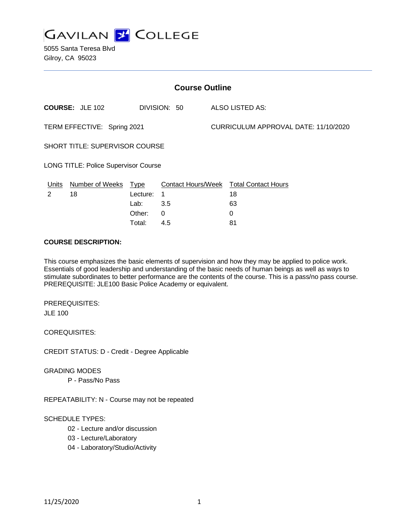

5055 Santa Teresa Blvd Gilroy, CA 95023

| <b>Course Outline</b>                       |                        |          |              |  |                                               |  |
|---------------------------------------------|------------------------|----------|--------------|--|-----------------------------------------------|--|
|                                             | <b>COURSE: JLE 102</b> |          | DIVISION: 50 |  | ALSO LISTED AS:                               |  |
| TERM EFFECTIVE: Spring 2021                 |                        |          |              |  | CURRICULUM APPROVAL DATE: 11/10/2020          |  |
| <b>SHORT TITLE: SUPERVISOR COURSE</b>       |                        |          |              |  |                                               |  |
| <b>LONG TITLE: Police Supervisor Course</b> |                        |          |              |  |                                               |  |
| <u>Units</u>                                | Number of Weeks Type   |          |              |  | <b>Contact Hours/Week Total Contact Hours</b> |  |
| 2                                           | 18                     | Lecture: | -1           |  | 18                                            |  |
|                                             |                        | Lab:     | 3.5          |  | 63                                            |  |
|                                             |                        | Other:   | 0            |  | 0                                             |  |

#### **COURSE DESCRIPTION:**

This course emphasizes the basic elements of supervision and how they may be applied to police work. Essentials of good leadership and understanding of the basic needs of human beings as well as ways to stimulate subordinates to better performance are the contents of the course. This is a pass/no pass course. PREREQUISITE: JLE100 Basic Police Academy or equivalent.

Total: 4.5 81

PREREQUISITES: JLE 100

COREQUISITES:

CREDIT STATUS: D - Credit - Degree Applicable

GRADING MODES

P - Pass/No Pass

REPEATABILITY: N - Course may not be repeated

#### SCHEDULE TYPES:

- 02 Lecture and/or discussion
- 03 Lecture/Laboratory
- 04 Laboratory/Studio/Activity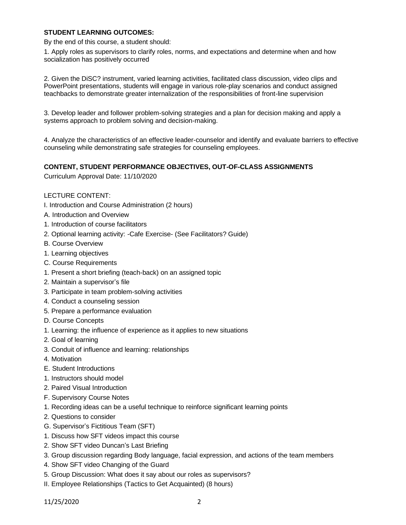## **STUDENT LEARNING OUTCOMES:**

By the end of this course, a student should:

1. Apply roles as supervisors to clarify roles, norms, and expectations and determine when and how socialization has positively occurred

2. Given the DiSC? instrument, varied learning activities, facilitated class discussion, video clips and PowerPoint presentations, students will engage in various role-play scenarios and conduct assigned teachbacks to demonstrate greater internalization of the responsibilities of front-line supervision

3. Develop leader and follower problem-solving strategies and a plan for decision making and apply a systems approach to problem solving and decision-making.

4. Analyze the characteristics of an effective leader-counselor and identify and evaluate barriers to effective counseling while demonstrating safe strategies for counseling employees.

#### **CONTENT, STUDENT PERFORMANCE OBJECTIVES, OUT-OF-CLASS ASSIGNMENTS**

Curriculum Approval Date: 11/10/2020

## LECTURE CONTENT:

- I. Introduction and Course Administration (2 hours)
- A. Introduction and Overview
- 1. Introduction of course facilitators
- 2. Optional learning activity: -Cafe Exercise- (See Facilitators? Guide)
- B. Course Overview
- 1. Learning objectives
- C. Course Requirements
- 1. Present a short briefing (teach-back) on an assigned topic
- 2. Maintain a supervisor's file
- 3. Participate in team problem-solving activities
- 4. Conduct a counseling session
- 5. Prepare a performance evaluation
- D. Course Concepts
- 1. Learning: the influence of experience as it applies to new situations
- 2. Goal of learning
- 3. Conduit of influence and learning: relationships
- 4. Motivation
- E. Student Introductions
- 1. Instructors should model
- 2. Paired Visual Introduction
- F. Supervisory Course Notes
- 1. Recording ideas can be a useful technique to reinforce significant learning points
- 2. Questions to consider
- G. Supervisor's Fictitious Team (SFT)
- 1. Discuss how SFT videos impact this course
- 2. Show SFT video Duncan's Last Briefing
- 3. Group discussion regarding Body language, facial expression, and actions of the team members
- 4. Show SFT video Changing of the Guard
- 5. Group Discussion: What does it say about our roles as supervisors?
- II. Employee Relationships (Tactics to Get Acquainted) (8 hours)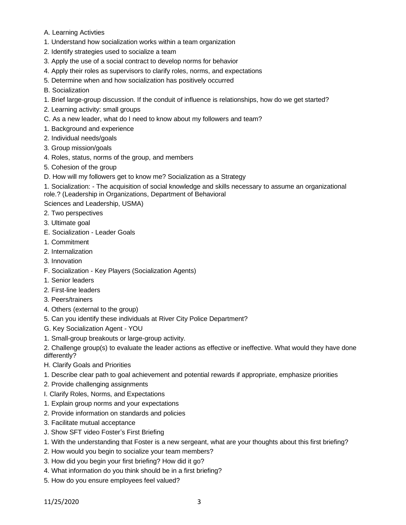- A. Learning Activties
- 1. Understand how socialization works within a team organization
- 2. Identify strategies used to socialize a team
- 3. Apply the use of a social contract to develop norms for behavior
- 4. Apply their roles as supervisors to clarify roles, norms, and expectations
- 5. Determine when and how socialization has positively occurred
- B. Socialization
- 1. Brief large-group discussion. If the conduit of influence is relationships, how do we get started?
- 2. Learning activity: small groups
- C. As a new leader, what do I need to know about my followers and team?
- 1. Background and experience
- 2. Individual needs/goals
- 3. Group mission/goals
- 4. Roles, status, norms of the group, and members
- 5. Cohesion of the group
- D. How will my followers get to know me? Socialization as a Strategy
- 1. Socialization: The acquisition of social knowledge and skills necessary to assume an organizational role.? (Leadership in Organizations, Department of Behavioral

Sciences and Leadership, USMA)

- 2. Two perspectives
- 3. Ultimate goal
- E. Socialization Leader Goals
- 1. Commitment
- 2. Internalization
- 3. Innovation
- F. Socialization Key Players (Socialization Agents)
- 1. Senior leaders
- 2. First-line leaders
- 3. Peers/trainers
- 4. Others (external to the group)
- 5. Can you identify these individuals at River City Police Department?
- G. Key Socialization Agent YOU
- 1. Small-group breakouts or large-group activity.

2. Challenge group(s) to evaluate the leader actions as effective or ineffective. What would they have done differently?

- H. Clarify Goals and Priorities
- 1. Describe clear path to goal achievement and potential rewards if appropriate, emphasize priorities
- 2. Provide challenging assignments
- I. Clarify Roles, Norms, and Expectations
- 1. Explain group norms and your expectations
- 2. Provide information on standards and policies
- 3. Facilitate mutual acceptance
- J. Show SFT video Foster's First Briefing
- 1. With the understanding that Foster is a new sergeant, what are your thoughts about this first briefing?
- 2. How would you begin to socialize your team members?
- 3. How did you begin your first briefing? How did it go?
- 4. What information do you think should be in a first briefing?
- 5. How do you ensure employees feel valued?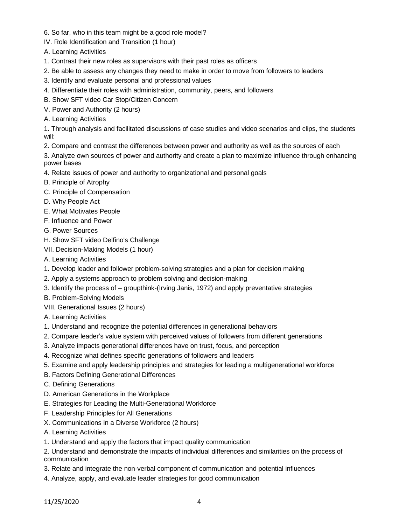- 6. So far, who in this team might be a good role model?
- IV. Role Identification and Transition (1 hour)
- A. Learning Activities
- 1. Contrast their new roles as supervisors with their past roles as officers
- 2. Be able to assess any changes they need to make in order to move from followers to leaders
- 3. Identify and evaluate personal and professional values
- 4. Differentiate their roles with administration, community, peers, and followers
- B. Show SFT video Car Stop/Citizen Concern
- V. Power and Authority (2 hours)
- A. Learning Activities

1. Through analysis and facilitated discussions of case studies and video scenarios and clips, the students will:

2. Compare and contrast the differences between power and authority as well as the sources of each

3. Analyze own sources of power and authority and create a plan to maximize influence through enhancing power bases

- 4. Relate issues of power and authority to organizational and personal goals
- B. Principle of Atrophy
- C. Principle of Compensation
- D. Why People Act
- E. What Motivates People
- F. Influence and Power
- G. Power Sources
- H. Show SFT video Delfino's Challenge
- VII. Decision-Making Models (1 hour)
- A. Learning Activities
- 1. Develop leader and follower problem-solving strategies and a plan for decision making
- 2. Apply a systems approach to problem solving and decision-making
- 3. Identify the process of groupthink-(Irving Janis, 1972) and apply preventative strategies
- B. Problem-Solving Models
- VIII. Generational Issues (2 hours)
- A. Learning Activities
- 1. Understand and recognize the potential differences in generational behaviors
- 2. Compare leader's value system with perceived values of followers from different generations
- 3. Analyze impacts generational differences have on trust, focus, and perception
- 4. Recognize what defines specific generations of followers and leaders
- 5. Examine and apply leadership principles and strategies for leading a multigenerational workforce
- B. Factors Defining Generational Differences
- C. Defining Generations
- D. American Generations in the Workplace
- E. Strategies for Leading the Multi-Generational Workforce
- F. Leadership Principles for All Generations
- X. Communications in a Diverse Workforce (2 hours)
- A. Learning Activities
- 1. Understand and apply the factors that impact quality communication
- 2. Understand and demonstrate the impacts of individual differences and similarities on the process of communication
- 3. Relate and integrate the non-verbal component of communication and potential influences
- 4. Analyze, apply, and evaluate leader strategies for good communication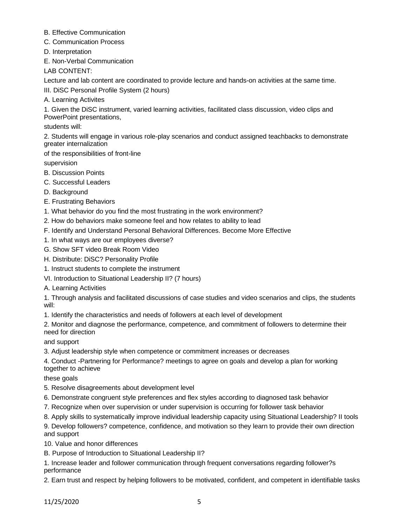- B. Effective Communication
- C. Communication Process
- D. Interpretation

E. Non-Verbal Communication

LAB CONTENT:

Lecture and lab content are coordinated to provide lecture and hands-on activities at the same time.

III. DiSC Personal Profile System (2 hours)

A. Learning Activites

1. Given the DiSC instrument, varied learning activities, facilitated class discussion, video clips and PowerPoint presentations,

students will:

2. Students will engage in various role-play scenarios and conduct assigned teachbacks to demonstrate greater internalization

of the responsibilities of front-line

supervision

- B. Discussion Points
- C. Successful Leaders
- D. Background
- E. Frustrating Behaviors
- 1. What behavior do you find the most frustrating in the work environment?
- 2. How do behaviors make someone feel and how relates to ability to lead
- F. Identify and Understand Personal Behavioral Differences. Become More Effective
- 1. In what ways are our employees diverse?
- G. Show SFT video Break Room Video
- H. Distribute: DiSC? Personality Profile
- 1. Instruct students to complete the instrument
- VI. Introduction to Situational Leadership II? (7 hours)

A. Learning Activities

1. Through analysis and facilitated discussions of case studies and video scenarios and clips, the students will:

1. Identify the characteristics and needs of followers at each level of development

2. Monitor and diagnose the performance, competence, and commitment of followers to determine their need for direction

and support

3. Adjust leadership style when competence or commitment increases or decreases

4. Conduct -Partnering for Performance? meetings to agree on goals and develop a plan for working together to achieve

these goals

- 5. Resolve disagreements about development level
- 6. Demonstrate congruent style preferences and flex styles according to diagnosed task behavior
- 7. Recognize when over supervision or under supervision is occurring for follower task behavior
- 8. Apply skills to systematically improve individual leadership capacity using Situational Leadership? II tools
- 9. Develop followers? competence, confidence, and motivation so they learn to provide their own direction and support
- 10. Value and honor differences
- B. Purpose of Introduction to Situational Leadership II?
- 1. Increase leader and follower communication through frequent conversations regarding follower?s performance

2. Earn trust and respect by helping followers to be motivated, confident, and competent in identifiable tasks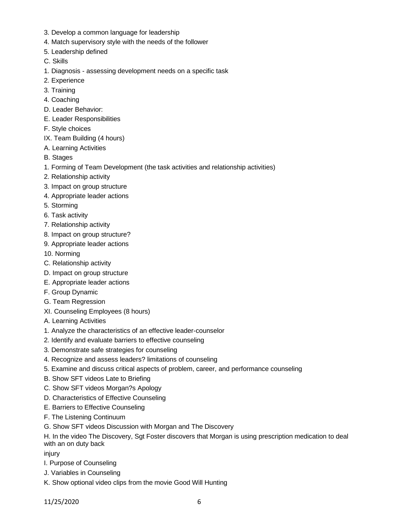- 3. Develop a common language for leadership
- 4. Match supervisory style with the needs of the follower
- 5. Leadership defined
- C. Skills
- 1. Diagnosis assessing development needs on a specific task
- 2. Experience
- 3. Training
- 4. Coaching
- D. Leader Behavior:
- E. Leader Responsibilities
- F. Style choices
- IX. Team Building (4 hours)
- A. Learning Activities
- B. Stages
- 1. Forming of Team Development (the task activities and relationship activities)
- 2. Relationship activity
- 3. Impact on group structure
- 4. Appropriate leader actions
- 5. Storming
- 6. Task activity
- 7. Relationship activity
- 8. Impact on group structure?
- 9. Appropriate leader actions
- 10. Norming
- C. Relationship activity
- D. Impact on group structure
- E. Appropriate leader actions
- F. Group Dynamic
- G. Team Regression
- XI. Counseling Employees (8 hours)
- A. Learning Activities
- 1. Analyze the characteristics of an effective leader-counselor
- 2. Identify and evaluate barriers to effective counseling
- 3. Demonstrate safe strategies for counseling
- 4. Recognize and assess leaders? limitations of counseling
- 5. Examine and discuss critical aspects of problem, career, and performance counseling
- B. Show SFT videos Late to Briefing
- C. Show SFT videos Morgan?s Apology
- D. Characteristics of Effective Counseling
- E. Barriers to Effective Counseling
- F. The Listening Continuum
- G. Show SFT videos Discussion with Morgan and The Discovery

H. In the video The Discovery, Sgt Foster discovers that Morgan is using prescription medication to deal with an on duty back

injury

- I. Purpose of Counseling
- J. Variables in Counseling
- K. Show optional video clips from the movie Good Will Hunting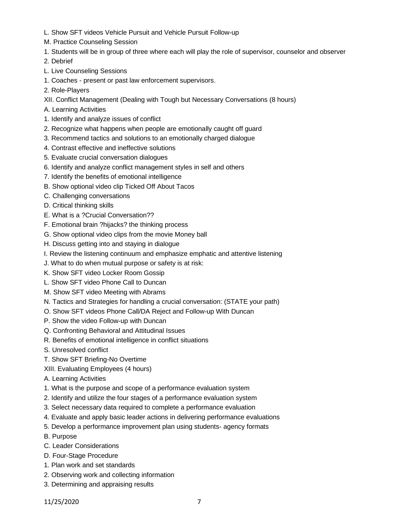- L. Show SFT videos Vehicle Pursuit and Vehicle Pursuit Follow-up
- M. Practice Counseling Session
- 1. Students will be in group of three where each will play the role of supervisor, counselor and observer
- 2. Debrief
- L. Live Counseling Sessions
- 1. Coaches present or past law enforcement supervisors.
- 2. Role-Players
- XII. Conflict Management (Dealing with Tough but Necessary Conversations (8 hours)
- A. Learning Activities
- 1. Identify and analyze issues of conflict
- 2. Recognize what happens when people are emotionally caught off guard
- 3. Recommend tactics and solutions to an emotionally charged dialogue
- 4. Contrast effective and ineffective solutions
- 5. Evaluate crucial conversation dialogues
- 6. Identify and analyze conflict management styles in self and others
- 7. Identify the benefits of emotional intelligence
- B. Show optional video clip Ticked Off About Tacos
- C. Challenging conversations
- D. Critical thinking skills
- E. What is a ?Crucial Conversation??
- F. Emotional brain ?hijacks? the thinking process
- G. Show optional video clips from the movie Money ball
- H. Discuss getting into and staying in dialogue
- I. Review the listening continuum and emphasize emphatic and attentive listening
- J. What to do when mutual purpose or safety is at risk:
- K. Show SFT video Locker Room Gossip
- L. Show SFT video Phone Call to Duncan
- M. Show SFT video Meeting with Abrams
- N. Tactics and Strategies for handling a crucial conversation: (STATE your path)
- O. Show SFT videos Phone Call/DA Reject and Follow-up With Duncan
- P. Show the video Follow-up with Duncan
- Q. Confronting Behavioral and Attitudinal Issues
- R. Benefits of emotional intelligence in conflict situations
- S. Unresolved conflict
- T. Show SFT Briefing-No Overtime
- XIII. Evaluating Employees (4 hours)
- A. Learning Activities
- 1. What is the purpose and scope of a performance evaluation system
- 2. Identify and utilize the four stages of a performance evaluation system
- 3. Select necessary data required to complete a performance evaluation
- 4. Evaluate and apply basic leader actions in delivering performance evaluations
- 5. Develop a performance improvement plan using students- agency formats
- B. Purpose
- C. Leader Considerations
- D. Four-Stage Procedure
- 1. Plan work and set standards
- 2. Observing work and collecting information
- 3. Determining and appraising results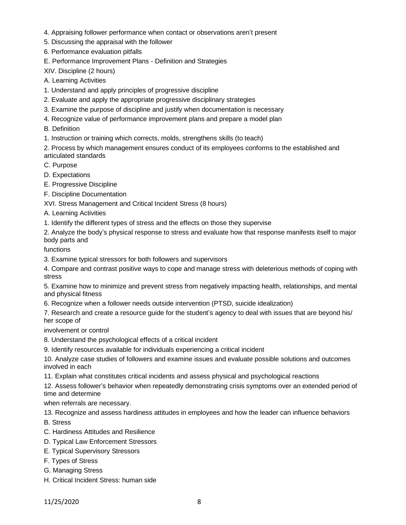- 4. Appraising follower performance when contact or observations aren't present
- 5. Discussing the appraisal with the follower
- 6. Performance evaluation pitfalls
- E. Performance Improvement Plans Definition and Strategies

XIV. Discipline (2 hours)

- A. Learning Activities
- 1. Understand and apply principles of progressive discipline
- 2. Evaluate and apply the appropriate progressive disciplinary strategies
- 3. Examine the purpose of discipline and justify when documentation is necessary
- 4. Recognize value of performance improvement plans and prepare a model plan
- B. Definition
- 1. Instruction or training which corrects, molds, strengthens skills (to teach)

2. Process by which management ensures conduct of its employees conforms to the established and articulated standards

- C. Purpose
- D. Expectations

E. Progressive Discipline

F. Discipline Documentation

XVI. Stress Management and Critical Incident Stress (8 hours)

A. Learning Activities

1. Identify the different types of stress and the effects on those they supervise

2. Analyze the body's physical response to stress and evaluate how that response manifests itself to major body parts and

functions

- 3. Examine typical stressors for both followers and supervisors
- 4. Compare and contrast positive ways to cope and manage stress with deleterious methods of coping with stress

5. Examine how to minimize and prevent stress from negatively impacting health, relationships, and mental and physical fitness

6. Recognize when a follower needs outside intervention (PTSD, suicide idealization)

7. Research and create a resource guide for the student's agency to deal with issues that are beyond his/ her scope of

involvement or control

- 8. Understand the psychological effects of a critical incident
- 9. Identify resources available for individuals experiencing a critical incident

10. Analyze case studies of followers and examine issues and evaluate possible solutions and outcomes involved in each

11. Explain what constitutes critical incidents and assess physical and psychological reactions

12. Assess follower's behavior when repeatedly demonstrating crisis symptoms over an extended period of time and determine

when referrals are necessary.

13. Recognize and assess hardiness attitudes in employees and how the leader can influence behaviors

B. Stress

- C. Hardiness Attitudes and Resilience
- D. Typical Law Enforcement Stressors
- E. Typical Supervisory Stressors
- F. Types of Stress
- G. Managing Stress
- H. Critical Incident Stress: human side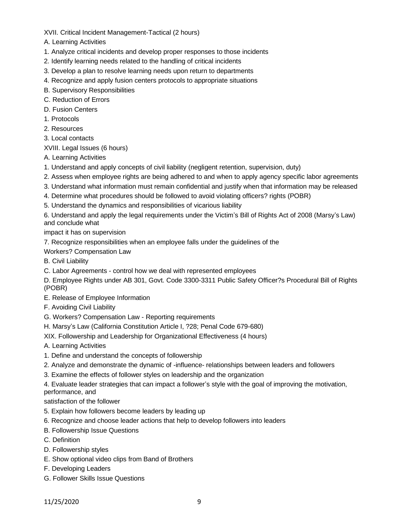XVII. Critical Incident Management-Tactical (2 hours)

A. Learning Activities

- 1. Analyze critical incidents and develop proper responses to those incidents
- 2. Identify learning needs related to the handling of critical incidents
- 3. Develop a plan to resolve learning needs upon return to departments
- 4. Recognize and apply fusion centers protocols to appropriate situations
- B. Supervisory Responsibilities
- C. Reduction of Errors
- D. Fusion Centers
- 1. Protocols
- 2. Resources
- 3. Local contacts

XVIII. Legal Issues (6 hours)

- A. Learning Activities
- 1. Understand and apply concepts of civil liability (negligent retention, supervision, duty)
- 2. Assess when employee rights are being adhered to and when to apply agency specific labor agreements
- 3. Understand what information must remain confidential and justify when that information may be released
- 4. Determine what procedures should be followed to avoid violating officers? rights (POBR)
- 5. Understand the dynamics and responsibilities of vicarious liability

6. Understand and apply the legal requirements under the Victim's Bill of Rights Act of 2008 (Marsy's Law) and conclude what

impact it has on supervision

7. Recognize responsibilities when an employee falls under the guidelines of the

Workers? Compensation Law

B. Civil Liability

C. Labor Agreements - control how we deal with represented employees

D. Employee Rights under AB 301, Govt. Code 3300-3311 Public Safety Officer?s Procedural Bill of Rights (POBR)

- E. Release of Employee Information
- F. Avoiding Civil Liability
- G. Workers? Compensation Law Reporting requirements
- H. Marsy's Law (California Constitution Article I, ?28; Penal Code 679-680)
- XIX. Followership and Leadership for Organizational Effectiveness (4 hours)

A. Learning Activities

- 1. Define and understand the concepts of followership
- 2. Analyze and demonstrate the dynamic of -influence- relationships between leaders and followers
- 3. Examine the effects of follower styles on leadership and the organization
- 4. Evaluate leader strategies that can impact a follower's style with the goal of improving the motivation,

performance, and

satisfaction of the follower

- 5. Explain how followers become leaders by leading up
- 6. Recognize and choose leader actions that help to develop followers into leaders
- B. Followership Issue Questions
- C. Definition
- D. Followership styles
- E. Show optional video clips from Band of Brothers
- F. Developing Leaders
- G. Follower Skills Issue Questions

11/25/2020 9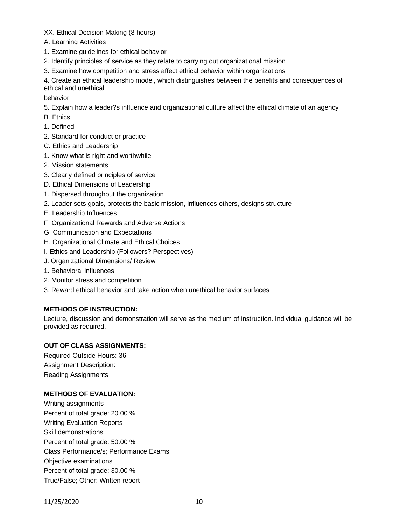XX. Ethical Decision Making (8 hours)

- A. Learning Activities
- 1. Examine guidelines for ethical behavior
- 2. Identify principles of service as they relate to carrying out organizational mission
- 3. Examine how competition and stress affect ethical behavior within organizations

4. Create an ethical leadership model, which distinguishes between the benefits and consequences of ethical and unethical

behavior

- 5. Explain how a leader?s influence and organizational culture affect the ethical climate of an agency
- B. Ethics
- 1. Defined
- 2. Standard for conduct or practice
- C. Ethics and Leadership
- 1. Know what is right and worthwhile
- 2. Mission statements
- 3. Clearly defined principles of service
- D. Ethical Dimensions of Leadership
- 1. Dispersed throughout the organization
- 2. Leader sets goals, protects the basic mission, influences others, designs structure
- E. Leadership Influences
- F. Organizational Rewards and Adverse Actions
- G. Communication and Expectations
- H. Organizational Climate and Ethical Choices
- I. Ethics and Leadership (Followers? Perspectives)
- J. Organizational Dimensions/ Review
- 1. Behavioral influences
- 2. Monitor stress and competition
- 3. Reward ethical behavior and take action when unethical behavior surfaces

# **METHODS OF INSTRUCTION:**

Lecture, discussion and demonstration will serve as the medium of instruction. Individual guidance will be provided as required.

## **OUT OF CLASS ASSIGNMENTS:**

Required Outside Hours: 36 Assignment Description: Reading Assignments

# **METHODS OF EVALUATION:**

Writing assignments Percent of total grade: 20.00 % Writing Evaluation Reports Skill demonstrations Percent of total grade: 50.00 % Class Performance/s; Performance Exams Objective examinations Percent of total grade: 30.00 % True/False; Other: Written report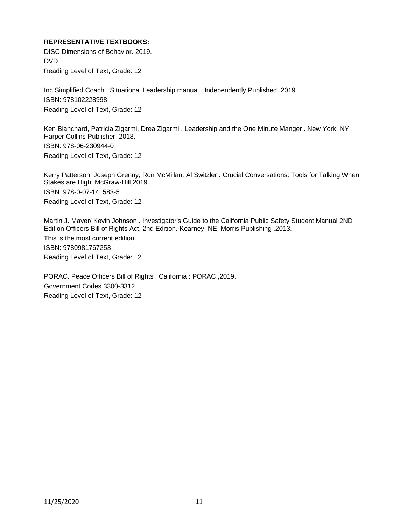## **REPRESENTATIVE TEXTBOOKS:**

DISC Dimensions of Behavior. 2019. DVD Reading Level of Text, Grade: 12

Inc Simplified Coach . Situational Leadership manual . Independently Published ,2019. ISBN: 978102228998 Reading Level of Text, Grade: 12

Ken Blanchard, Patricia Zigarmi, Drea Zigarmi . Leadership and the One Minute Manger . New York, NY: Harper Collins Publisher ,2018. ISBN: 978-06-230944-0 Reading Level of Text, Grade: 12

Kerry Patterson, Joseph Grenny, Ron McMillan, Al Switzler . Crucial Conversations: Tools for Talking When Stakes are High. McGraw-Hill,2019. ISBN: 978-0-07-141583-5 Reading Level of Text, Grade: 12

Martin J. Mayer/ Kevin Johnson . Investigator's Guide to the California Public Safety Student Manual 2ND Edition Officers Bill of Rights Act, 2nd Edition. Kearney, NE: Morris Publishing ,2013.

This is the most current edition ISBN: 9780981767253 Reading Level of Text, Grade: 12

PORAC. Peace Officers Bill of Rights . California : PORAC ,2019. Government Codes 3300-3312 Reading Level of Text, Grade: 12